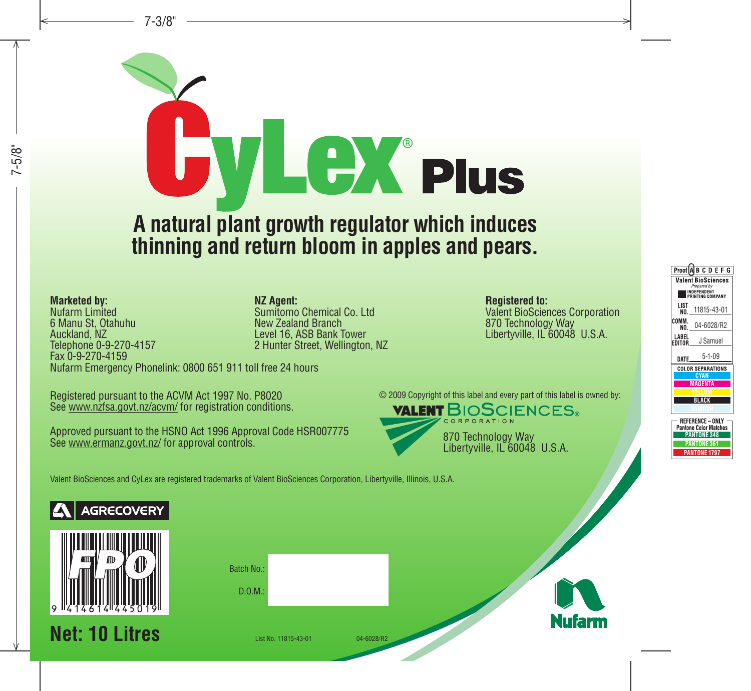

**thinning and return bloom in apples and pears.**

**Marketed by:** Nufarm Limited 6 Manu St, Otahuhu Auckland, NZ Telephone 0-9-270-4157 Fax 0-9-270-4159 Nufarm Emergency Phonelink: 0800 651 911 toll free 24 hours **NZ Agent:** Sumitomo Chemical Co. Ltd New Zealand Branch Level 16, ASB Bank Tower 2 Hunter Street, Wellington, NZ

Registered pursuant to the ACVM Act 1997 No. P8020 See www.nzfsa.govt.nz/acvm/ for registration conditions.

Approved pursuant to the HSNO Act 1996 Approval Code HSR007775 See www.ermanz.govt.nz/ for approval controls.

**Registered to:** Valent BioSciences Corporation 870 Technology Way Libertyville, IL 60048 U.S.A.

© 2009 Copyright of this label and every part of this label is owned by:



Valent BioSciences and CyLex are registered trademarks of Valent BioSciences Corporation, Libertyville, Illinois, U.S.A.